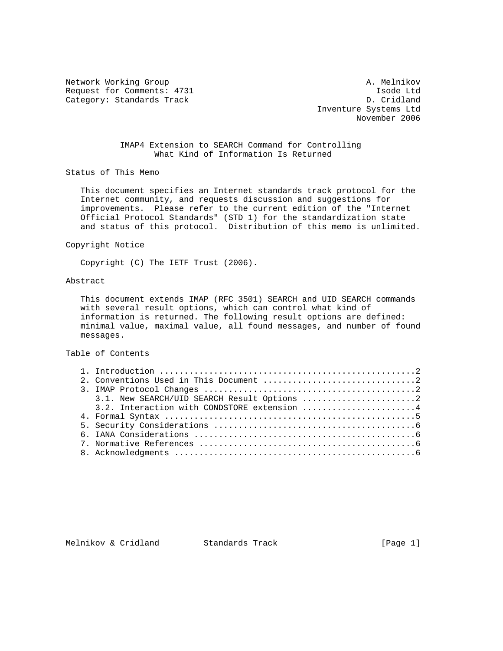Network Working Group and A. Melnikov A. Melnikov Request for Comments: 4731 Isode Ltd<br>
Category: Standards Track and D. Cridland Category: Standards Track

 Inventure Systems Ltd November 2006

## IMAP4 Extension to SEARCH Command for Controlling What Kind of Information Is Returned

Status of This Memo

 This document specifies an Internet standards track protocol for the Internet community, and requests discussion and suggestions for improvements. Please refer to the current edition of the "Internet Official Protocol Standards" (STD 1) for the standardization state and status of this protocol. Distribution of this memo is unlimited.

### Copyright Notice

Copyright (C) The IETF Trust (2006).

# Abstract

 This document extends IMAP (RFC 3501) SEARCH and UID SEARCH commands with several result options, which can control what kind of information is returned. The following result options are defined: minimal value, maximal value, all found messages, and number of found messages.

#### Table of Contents

| 3.1. New SEARCH/UID SEARCH Result Options 2 |
|---------------------------------------------|
| 3.2. Interaction with CONDSTORE extension 4 |
|                                             |
|                                             |
|                                             |
|                                             |
|                                             |

# Melnikov & Cridland Standards Track [Page 1]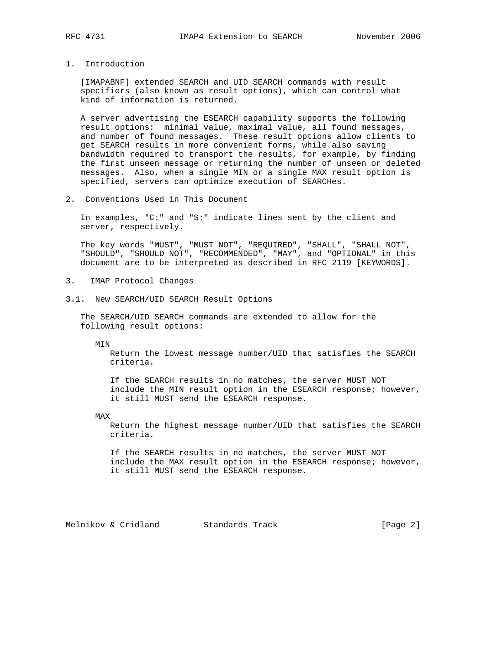1. Introduction

 [IMAPABNF] extended SEARCH and UID SEARCH commands with result specifiers (also known as result options), which can control what kind of information is returned.

 A server advertising the ESEARCH capability supports the following result options: minimal value, maximal value, all found messages, and number of found messages. These result options allow clients to get SEARCH results in more convenient forms, while also saving bandwidth required to transport the results, for example, by finding the first unseen message or returning the number of unseen or deleted messages. Also, when a single MIN or a single MAX result option is specified, servers can optimize execution of SEARCHes.

2. Conventions Used in This Document

 In examples, "C:" and "S:" indicate lines sent by the client and server, respectively.

 The key words "MUST", "MUST NOT", "REQUIRED", "SHALL", "SHALL NOT", "SHOULD", "SHOULD NOT", "RECOMMENDED", "MAY", and "OPTIONAL" in this document are to be interpreted as described in RFC 2119 [KEYWORDS].

- 3. IMAP Protocol Changes
- 3.1. New SEARCH/UID SEARCH Result Options

 The SEARCH/UID SEARCH commands are extended to allow for the following result options:

MIN

 Return the lowest message number/UID that satisfies the SEARCH criteria.

 If the SEARCH results in no matches, the server MUST NOT include the MIN result option in the ESEARCH response; however, it still MUST send the ESEARCH response.

MAX

 Return the highest message number/UID that satisfies the SEARCH criteria.

 If the SEARCH results in no matches, the server MUST NOT include the MAX result option in the ESEARCH response; however, it still MUST send the ESEARCH response.

Melnikov & Cridland Standards Track [Page 2]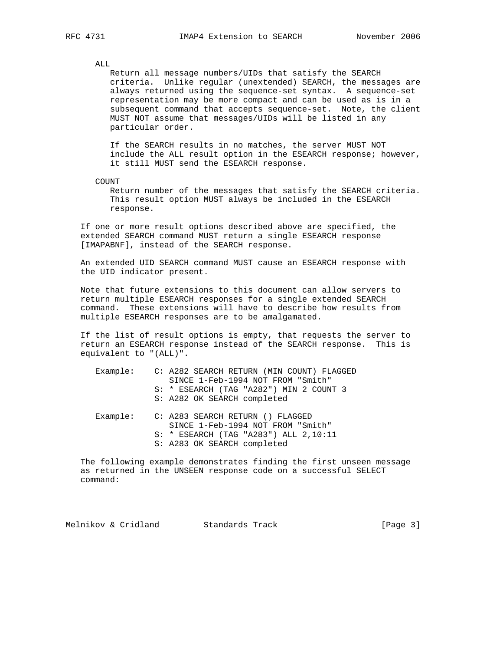#### ALL.

 Return all message numbers/UIDs that satisfy the SEARCH criteria. Unlike regular (unextended) SEARCH, the messages are always returned using the sequence-set syntax. A sequence-set representation may be more compact and can be used as is in a subsequent command that accepts sequence-set. Note, the client MUST NOT assume that messages/UIDs will be listed in any particular order.

 If the SEARCH results in no matches, the server MUST NOT include the ALL result option in the ESEARCH response; however, it still MUST send the ESEARCH response.

COUNT

 Return number of the messages that satisfy the SEARCH criteria. This result option MUST always be included in the ESEARCH response.

 If one or more result options described above are specified, the extended SEARCH command MUST return a single ESEARCH response [IMAPABNF], instead of the SEARCH response.

 An extended UID SEARCH command MUST cause an ESEARCH response with the UID indicator present.

 Note that future extensions to this document can allow servers to return multiple ESEARCH responses for a single extended SEARCH command. These extensions will have to describe how results from multiple ESEARCH responses are to be amalgamated.

 If the list of result options is empty, that requests the server to return an ESEARCH response instead of the SEARCH response. This is equivalent to "(ALL)".

|  | Example: C: A282 SEARCH RETURN (MIN COUNT) FLAGGED<br>SINCE 1-Feb-1994 NOT FROM "Smith"<br>S: * ESEARCH (TAG "A282") MIN 2 COUNT 3<br>S: A282 OK SEARCH completed |
|--|-------------------------------------------------------------------------------------------------------------------------------------------------------------------|
|  | Example: C: A283 SEARCH RETURN () FLAGGED<br>SINCE 1-Feb-1994 NOT FROM "Smith"<br>S: * ESEARCH (TAG "A283") ALL 2,10:11<br>S: A283 OK SEARCH completed            |

 The following example demonstrates finding the first unseen message as returned in the UNSEEN response code on a successful SELECT command:

Melnikov & Cridland Standards Track [Page 3]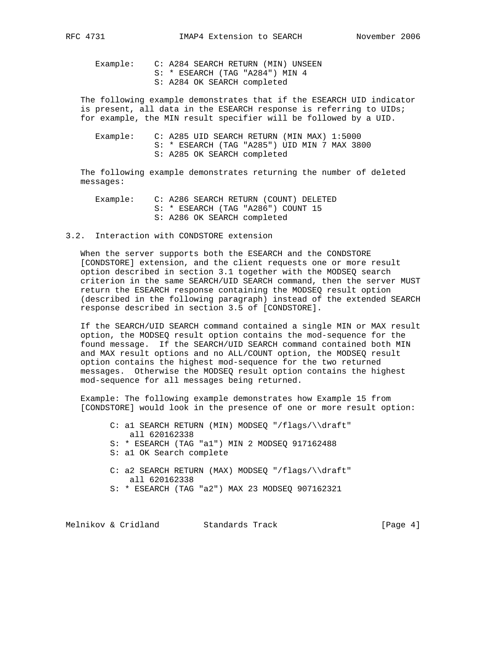Example: C: A284 SEARCH RETURN (MIN) UNSEEN S: \* ESEARCH (TAG "A284") MIN 4 S: A284 OK SEARCH completed

 The following example demonstrates that if the ESEARCH UID indicator is present, all data in the ESEARCH response is referring to UIDs; for example, the MIN result specifier will be followed by a UID.

| Example: |  |  |  | C: A285 UID SEARCH RETURN (MIN MAX) 1:5000   |  |  |  |
|----------|--|--|--|----------------------------------------------|--|--|--|
|          |  |  |  | S: * ESEARCH (TAG "A285") UID MIN 7 MAX 3800 |  |  |  |
|          |  |  |  | S: A285 OK SEARCH completed                  |  |  |  |

 The following example demonstrates returning the number of deleted messages:

- Example: C: A286 SEARCH RETURN (COUNT) DELETED S: \* ESEARCH (TAG "A286") COUNT 15 S: A286 OK SEARCH completed
- 3.2. Interaction with CONDSTORE extension

 When the server supports both the ESEARCH and the CONDSTORE [CONDSTORE] extension, and the client requests one or more result option described in section 3.1 together with the MODSEQ search criterion in the same SEARCH/UID SEARCH command, then the server MUST return the ESEARCH response containing the MODSEQ result option (described in the following paragraph) instead of the extended SEARCH response described in section 3.5 of [CONDSTORE].

 If the SEARCH/UID SEARCH command contained a single MIN or MAX result option, the MODSEQ result option contains the mod-sequence for the found message. If the SEARCH/UID SEARCH command contained both MIN and MAX result options and no ALL/COUNT option, the MODSEQ result option contains the highest mod-sequence for the two returned messages. Otherwise the MODSEQ result option contains the highest mod-sequence for all messages being returned.

 Example: The following example demonstrates how Example 15 from [CONDSTORE] would look in the presence of one or more result option:

- C: a1 SEARCH RETURN (MIN) MODSEQ "/flags/\\draft" all 620162338
- S: \* ESEARCH (TAG "a1") MIN 2 MODSEQ 917162488
- S: a1 OK Search complete
- C: a2 SEARCH RETURN (MAX) MODSEQ "/flags/\\draft" all 620162338
- S: \* ESEARCH (TAG "a2") MAX 23 MODSEQ 907162321

Melnikov & Cridland Standards Track [Page 4]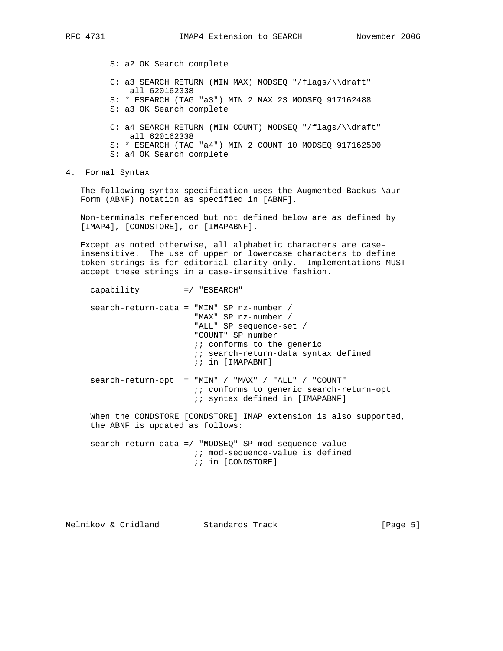S: a2 OK Search complete

- C: a3 SEARCH RETURN (MIN MAX) MODSEQ "/flags/\\draft" all 620162338
- S: \* ESEARCH (TAG "a3") MIN 2 MAX 23 MODSEQ 917162488
- S: a3 OK Search complete
- C: a4 SEARCH RETURN (MIN COUNT) MODSEQ "/flags/\\draft" all 620162338
- S: \* ESEARCH (TAG "a4") MIN 2 COUNT 10 MODSEQ 917162500
- S: a4 OK Search complete
- 4. Formal Syntax

 The following syntax specification uses the Augmented Backus-Naur Form (ABNF) notation as specified in [ABNF].

 Non-terminals referenced but not defined below are as defined by [IMAP4], [CONDSTORE], or [IMAPABNF].

 Except as noted otherwise, all alphabetic characters are case insensitive. The use of upper or lowercase characters to define token strings is for editorial clarity only. Implementations MUST accept these strings in a case-insensitive fashion.

|                                 | $search-return-data = "MIN" SP nz-number /$<br>"MAX" SP nz-number /<br>"ALL" SP sequence-set /<br>"COUNT" SP number<br><i>ii</i> conforms to the generic<br><i>ii</i> search-return-data syntax defined<br>;; in [IMAPABNF] |
|---------------------------------|-----------------------------------------------------------------------------------------------------------------------------------------------------------------------------------------------------------------------------|
|                                 | $search-return-opt$ = "MIN" / "MAX" / "ALL" / "COUNT"<br><i>ii</i> conforms to generic search-return-opt<br><i>ii</i> syntax defined in [IMAPABNF]                                                                          |
| the ABNF is updated as follows: | When the CONDSTORE [CONDSTORE] IMAP extension is also supported,                                                                                                                                                            |
|                                 | search-return-data =/ "MODSEQ" SP mod-sequence-value<br>:: mod-sequence-value is defined<br>;; in [CONDSTORE]                                                                                                               |

Melnikov & Cridland Standards Track [Page 5]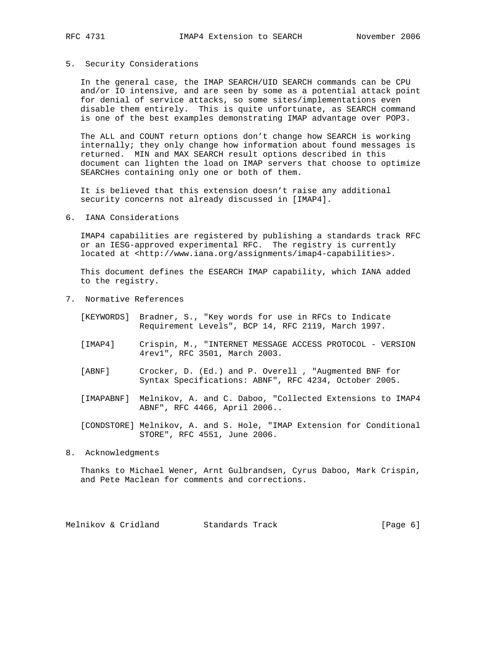#### 5. Security Considerations

 In the general case, the IMAP SEARCH/UID SEARCH commands can be CPU and/or IO intensive, and are seen by some as a potential attack point for denial of service attacks, so some sites/implementations even disable them entirely. This is quite unfortunate, as SEARCH command is one of the best examples demonstrating IMAP advantage over POP3.

 The ALL and COUNT return options don't change how SEARCH is working internally; they only change how information about found messages is returned. MIN and MAX SEARCH result options described in this document can lighten the load on IMAP servers that choose to optimize SEARCHes containing only one or both of them.

 It is believed that this extension doesn't raise any additional security concerns not already discussed in [IMAP4].

6. IANA Considerations

 IMAP4 capabilities are registered by publishing a standards track RFC or an IESG-approved experimental RFC. The registry is currently located at <http://www.iana.org/assignments/imap4-capabilities>.

 This document defines the ESEARCH IMAP capability, which IANA added to the registry.

- 7. Normative References
	- [KEYWORDS] Bradner, S., "Key words for use in RFCs to Indicate Requirement Levels", BCP 14, RFC 2119, March 1997.
	- [IMAP4] Crispin, M., "INTERNET MESSAGE ACCESS PROTOCOL VERSION 4rev1", RFC 3501, March 2003.
	- [ABNF] Crocker, D. (Ed.) and P. Overell , "Augmented BNF for Syntax Specifications: ABNF", RFC 4234, October 2005.
	- [IMAPABNF] Melnikov, A. and C. Daboo, "Collected Extensions to IMAP4 ABNF", RFC 4466, April 2006..
	- [CONDSTORE] Melnikov, A. and S. Hole, "IMAP Extension for Conditional STORE", RFC 4551, June 2006.
- 8. Acknowledgments

 Thanks to Michael Wener, Arnt Gulbrandsen, Cyrus Daboo, Mark Crispin, and Pete Maclean for comments and corrections.

Melnikov & Cridland Standards Track [Page 6]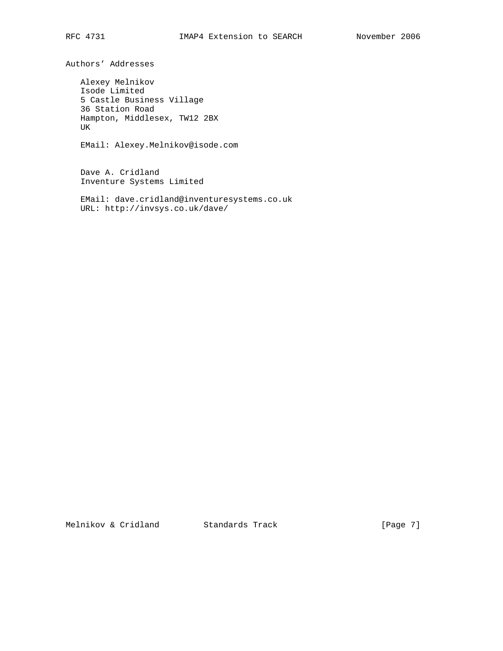Authors' Addresses

 Alexey Melnikov Isode Limited 5 Castle Business Village 36 Station Road Hampton, Middlesex, TW12 2BX UK

EMail: Alexey.Melnikov@isode.com

 Dave A. Cridland Inventure Systems Limited

 EMail: dave.cridland@inventuresystems.co.uk URL: http://invsys.co.uk/dave/